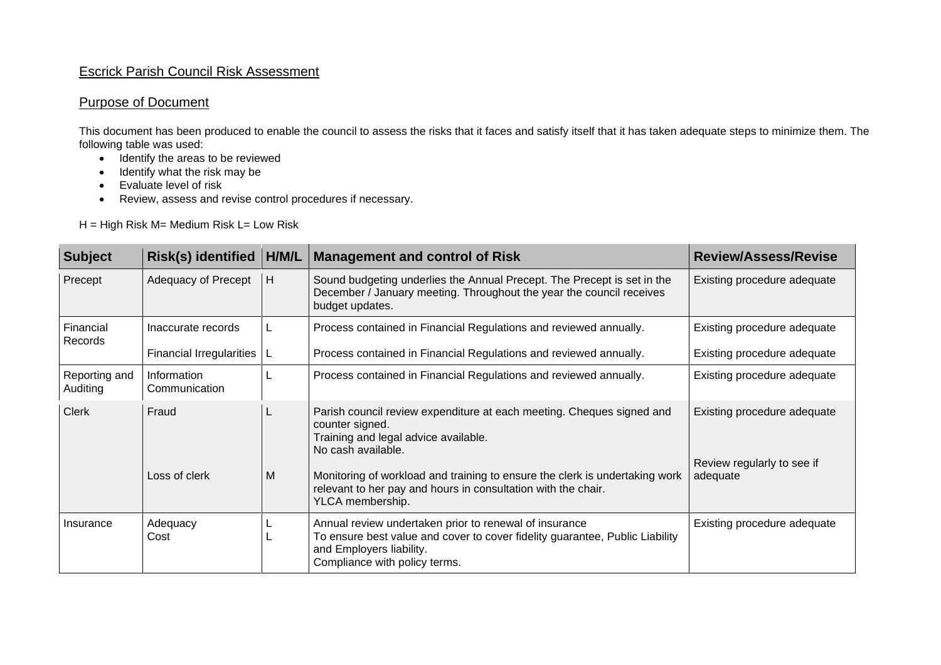## Escrick Parish Council Risk Assessment

## Purpose of Document

This document has been produced to enable the council to assess the risks that it faces and satisfy itself that it has taken adequate steps to minimize them. The following table was used:

- Identify the areas to be reviewed
- Identify what the risk may be
- Evaluate level of risk
- Review, assess and revise control procedures if necessary.

H = High Risk M= Medium Risk L= Low Risk

| <b>Subject</b>            | Risk(s) identified           | H/M/L | <b>Management and control of Risk</b>                                                                                                                                                               | <b>Review/Assess/Revise</b>                                           |
|---------------------------|------------------------------|-------|-----------------------------------------------------------------------------------------------------------------------------------------------------------------------------------------------------|-----------------------------------------------------------------------|
| Precept                   | Adequacy of Precept          | H     | Sound budgeting underlies the Annual Precept. The Precept is set in the<br>December / January meeting. Throughout the year the council receives<br>budget updates.                                  | Existing procedure adequate                                           |
| Financial<br>Records      | Inaccurate records           |       | Process contained in Financial Regulations and reviewed annually.                                                                                                                                   | Existing procedure adequate                                           |
|                           | Financial Irregularities     |       | Process contained in Financial Regulations and reviewed annually.                                                                                                                                   | Existing procedure adequate                                           |
| Reporting and<br>Auditing | Information<br>Communication |       | Process contained in Financial Regulations and reviewed annually.                                                                                                                                   | Existing procedure adequate                                           |
| <b>Clerk</b>              | Fraud                        |       | Parish council review expenditure at each meeting. Cheques signed and<br>counter signed.<br>Training and legal advice available.<br>No cash available.                                              | Existing procedure adequate<br>Review regularly to see if<br>adequate |
|                           | Loss of clerk                | M     | Monitoring of workload and training to ensure the clerk is undertaking work<br>relevant to her pay and hours in consultation with the chair.<br>YLCA membership.                                    |                                                                       |
| Insurance                 | Adequacy<br>Cost             |       | Annual review undertaken prior to renewal of insurance<br>To ensure best value and cover to cover fidelity guarantee, Public Liability<br>and Employers liability.<br>Compliance with policy terms. | Existing procedure adequate                                           |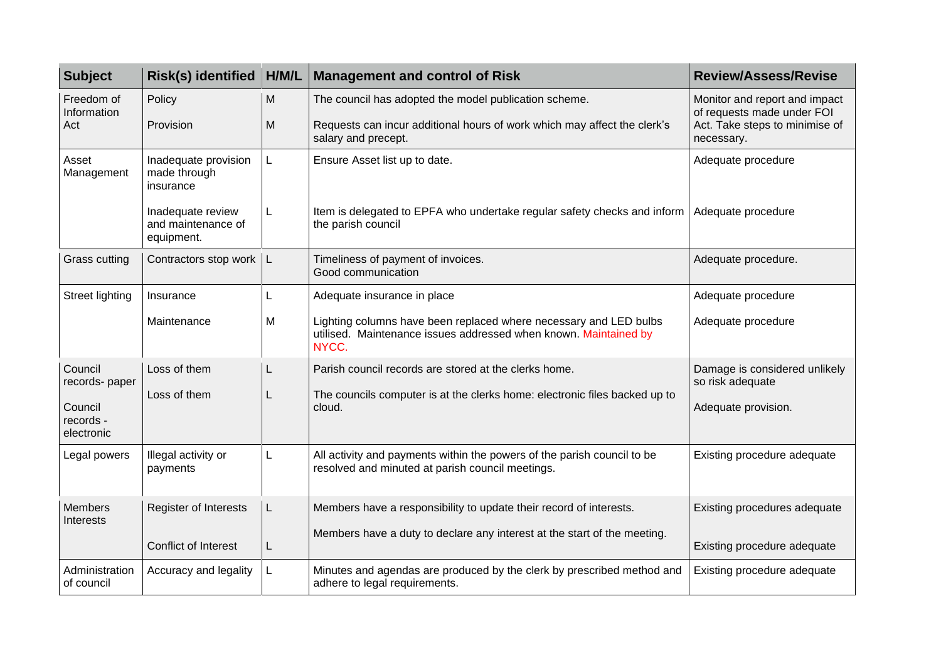| <b>Subject</b>                   | Risk(s) identified                                    | H/M/L | <b>Management and control of Risk</b>                                                                                                          | <b>Review/Assess/Revise</b>                                                                                 |
|----------------------------------|-------------------------------------------------------|-------|------------------------------------------------------------------------------------------------------------------------------------------------|-------------------------------------------------------------------------------------------------------------|
| Freedom of<br>Information<br>Act | Policy                                                | M     | The council has adopted the model publication scheme.                                                                                          | Monitor and report and impact<br>of requests made under FOI<br>Act. Take steps to minimise of<br>necessary. |
|                                  | Provision                                             | M     | Requests can incur additional hours of work which may affect the clerk's<br>salary and precept.                                                |                                                                                                             |
| Asset<br>Management              | Inadequate provision<br>made through<br>insurance     |       | Ensure Asset list up to date.                                                                                                                  | Adequate procedure                                                                                          |
|                                  | Inadequate review<br>and maintenance of<br>equipment. | L     | Item is delegated to EPFA who undertake regular safety checks and inform<br>the parish council                                                 | Adequate procedure                                                                                          |
| Grass cutting                    | Contractors stop work                                 | L     | Timeliness of payment of invoices.<br>Good communication                                                                                       | Adequate procedure.                                                                                         |
| <b>Street lighting</b>           | Insurance                                             | L.    | Adequate insurance in place                                                                                                                    | Adequate procedure                                                                                          |
|                                  | Maintenance                                           | M     | Lighting columns have been replaced where necessary and LED bulbs<br>utilised. Maintenance issues addressed when known. Maintained by<br>NYCC. | Adequate procedure                                                                                          |
| Council<br>records- paper        | Loss of them                                          | L     | Parish council records are stored at the clerks home.                                                                                          | Damage is considered unlikely<br>so risk adequate                                                           |
| Council                          | Loss of them                                          | L     | The councils computer is at the clerks home: electronic files backed up to<br>cloud.                                                           | Adequate provision.                                                                                         |
| records -<br>electronic          |                                                       |       |                                                                                                                                                |                                                                                                             |
| Legal powers                     | Illegal activity or<br>payments                       | L     | All activity and payments within the powers of the parish council to be<br>resolved and minuted at parish council meetings.                    | Existing procedure adequate                                                                                 |
| <b>Members</b><br>Interests      | <b>Register of Interests</b>                          | L.    | Members have a responsibility to update their record of interests.                                                                             | Existing procedures adequate                                                                                |
|                                  | Conflict of Interest                                  | L.    | Members have a duty to declare any interest at the start of the meeting.                                                                       | Existing procedure adequate                                                                                 |
| Administration<br>of council     | Accuracy and legality                                 | L.    | Minutes and agendas are produced by the clerk by prescribed method and<br>adhere to legal requirements.                                        | Existing procedure adequate                                                                                 |